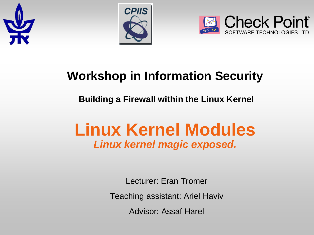





#### **Workshop in Information Security**

#### **Building a Firewall within the Linux Kernel**

# **Linux Kernel Modules** *Linux kernel magic exposed.*

Lecturer: Eran Tromer

Teaching assistant: Ariel Haviv

Advisor: Assaf Harel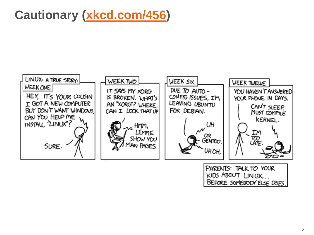### **Cautionary [\(xkcd.com/456](http://xkcd.com/456/))**



PARENTS: TALK TO YOUR KIDS ABOUT LINUX.. BEFORE SOMEBODY ELSE DOES.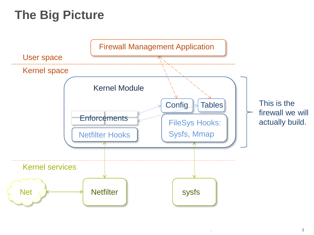# **The Big Picture**

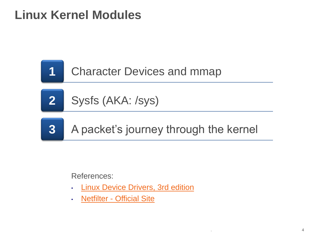

**2** Sysfs (AKA: /sys)

**3** A packet's journey through the kernel

References:

- **[Linux Device](http://lwn.net/Kernel/LDD3/) [Drivers, 3rd edition](http://lwn.net/Kernel/LDD3/)**
- **[Netfilter](http://www.netfilter.org/) [-](http://www.netfilter.org/) [Official Site](http://www.netfilter.org/)**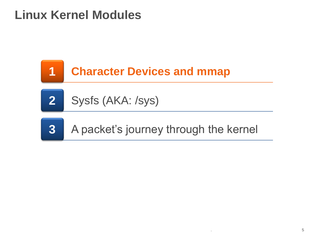





**3** A packet's journey through the kernel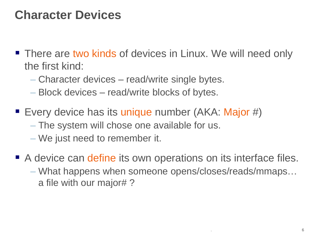#### **Character Devices**

- **There are two kinds of devices in Linux. We will need only** the first kind:
	- Character devices read/write single bytes.
	- Block devices read/write blocks of bytes.
- Every device has its unique number (AKA: Major #) – The system will chose one available for us. – We just need to remember it.
- A device can define its own operations on its interface files. – What happens when someone opens/closes/reads/mmaps… a file with our major# ?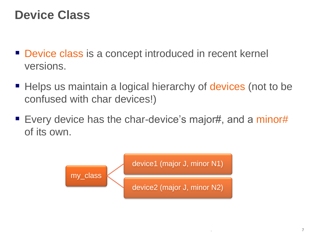#### **Device Class**

- **Device class is a concept introduced in recent kernel** versions.
- Helps us maintain a logical hierarchy of devices (not to be confused with char devices!)
- **Every device has the char-device's major#, and a minor#** of its own.

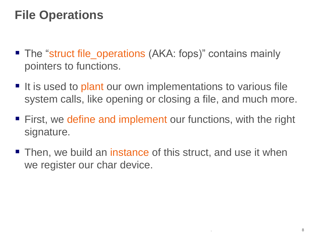## **File Operations**

- The "struct file\_operations (AKA: fops)" contains mainly pointers to functions.
- It is used to plant our own implementations to various file system calls, like opening or closing a file, and much more.
- **First, we define and implement our functions, with the right** signature.
- Then, we build an instance of this struct, and use it when we register our char device.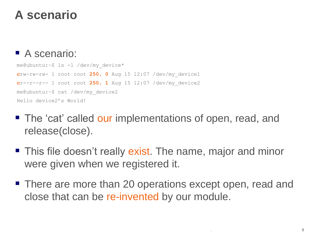### **A scenario**

#### A scenario:

me@ubuntu:~\$ ls -l /dev/my\_device\* **c**rw-rw-rw- 1 root root **250, 0** Aug 15 12:07 /dev/my\_device1 **c**r--r--r-- 1 root root **250, 1** Aug 15 12:07 /dev/my\_device2 me@ubuntu:~\$ cat /dev/my\_device2 Hello device2's World!

- The 'cat' called our implementations of open, read, and release(close).
- **This file doesn't really exist. The name, major and minor** were given when we registered it.
- There are more than 20 operations except open, read and close that can be re-invented by our module.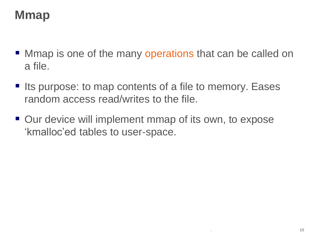## **Mmap**

- **Mmap is one of the many operations that can be called on** a file.
- Its purpose: to map contents of a file to memory. Eases random access read/writes to the file.
- Our device will implement mmap of its own, to expose 'kmalloc'ed tables to user-space.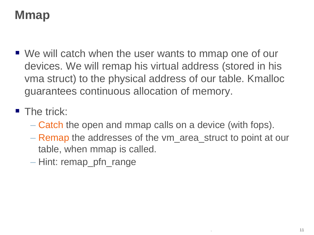## **Mmap**

- We will catch when the user wants to mmap one of our devices. We will remap his virtual address (stored in his vma struct) to the physical address of our table. Kmalloc guarantees continuous allocation of memory.
- **The trick:** 
	- Catch the open and mmap calls on a device (with fops).
	- Remap the addresses of the vm\_area\_struct to point at our table, when mmap is called.
	- Hint: remap\_pfn\_range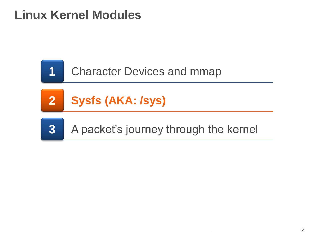





**3** A packet's journey through the kernel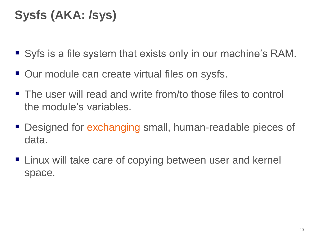# **Sysfs (AKA: /sys)**

- Syfs is a file system that exists only in our machine's RAM.
- Our module can create virtual files on sysfs.
- The user will read and write from/to those files to control the module's variables.
- Designed for exchanging small, human-readable pieces of data.
- Linux will take care of copying between user and kernel space.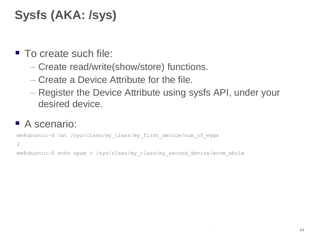# **Sysfs (AKA: /sys)**

- To create such file:
	- Create read/write(show/store) functions.
	- Create a Device Attribute for the file.
	- Register the Device Attribute using sysfs API, under your desired device.

#### A scenario:

me@ubuntu:~\$ cat /sys/class/my\_class/my\_first\_device/num\_of\_eggs

2

me@ubuntu:~\$ echo spam > /sys/class/my\_class/my\_second\_device/worm\_whole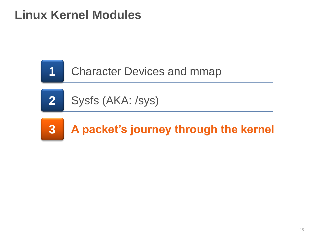

**2** Sysfs (AKA: /sys)

# **3 A packet's journey through the kernel**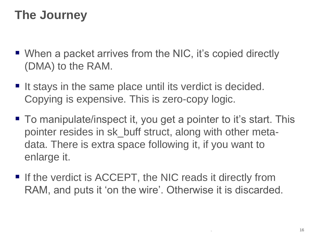### **The Journey**

- When a packet arrives from the NIC, it's copied directly (DMA) to the RAM.
- It stays in the same place until its verdict is decided. Copying is expensive. This is zero-copy logic.
- To manipulate/inspect it, you get a pointer to it's start. This pointer resides in sk\_buff struct, along with other metadata. There is extra space following it, if you want to enlarge it.
- If the verdict is ACCEPT, the NIC reads it directly from RAM, and puts it 'on the wire'. Otherwise it is discarded.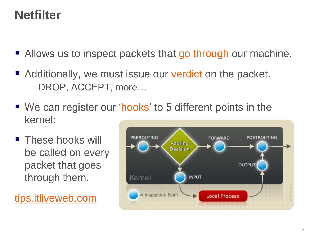### **Netfilter**

- Allows us to inspect packets that go through our machine.
- Additionally, we must issue our verdict on the packet. – DROP, ACCEPT, more…
- We can register our 'hooks' to 5 different points in the kernel:
- **These hooks will** be called on every packet that goes through them.

[tips.itliveweb.com](http://tips.itliveweb.com/linux-unix/access-control-with-netfilter-iptables.html)

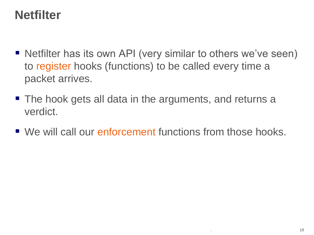### **Netfilter**

- Netfilter has its own API (very similar to others we've seen) to register hooks (functions) to be called every time a packet arrives.
- The hook gets all data in the arguments, and returns a verdict.
- We will call our enforcement functions from those hooks.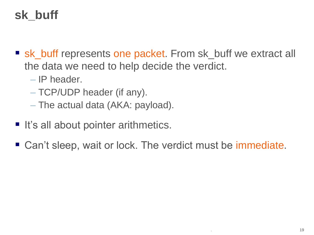# **sk\_buff**

- sk\_buff represents one packet. From sk\_buff we extract all the data we need to help decide the verdict.
	- IP header.
	- TCP/UDP header (if any).
	- The actual data (AKA: payload).
- $\blacksquare$  It's all about pointer arithmetics.
- Can't sleep, wait or lock. The verdict must be immediate.